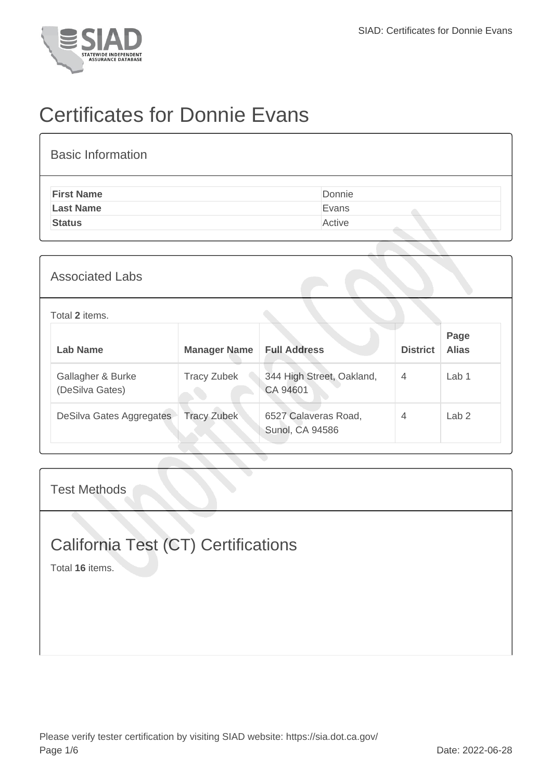

## Certificates for Donnie Evans

| <b>Basic Information</b> |        |
|--------------------------|--------|
| <b>First Name</b>        | Donnie |
| <b>Last Name</b>         | Evans  |
| <b>Status</b>            | Active |
|                          |        |

| Lab Name               | Manager Name | - Full Ac |
|------------------------|--------------|-----------|
| Total 2 items.         |              |           |
| <b>Associated Labs</b> |              |           |

| <b>Lab Name</b>                      | <b>Manager Name</b> | <b>Full Address</b>                            | <b>District</b> | Page<br><b>Alias</b> |
|--------------------------------------|---------------------|------------------------------------------------|-----------------|----------------------|
| Gallagher & Burke<br>(DeSilva Gates) | <b>Tracy Zubek</b>  | 344 High Street, Oakland,<br>CA 94601          | $\overline{4}$  | Lab <sub>1</sub>     |
| DeSilva Gates Aggregates             | <b>Tracy Zubek</b>  | 6527 Calaveras Road,<br><b>Sunol, CA 94586</b> | $\overline{4}$  | Lab <sub>2</sub>     |

Test Methods

## California Test (CT) Certifications

Total **16** items.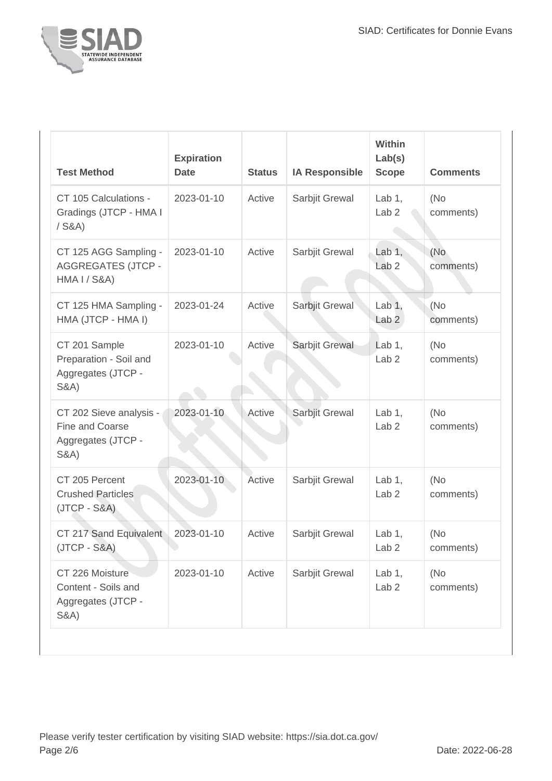

| <b>Test Method</b>                                                                  | <b>Expiration</b><br><b>Date</b> | <b>Status</b> | <b>IA Responsible</b> | <b>Within</b><br>Lab(s)<br><b>Scope</b> | <b>Comments</b>  |
|-------------------------------------------------------------------------------------|----------------------------------|---------------|-----------------------|-----------------------------------------|------------------|
| CT 105 Calculations -<br>Gradings (JTCP - HMA I<br>$/$ S&A)                         | 2023-01-10                       | Active        | Sarbjit Grewal        | Lab $1,$<br>Lab <sub>2</sub>            | (No<br>comments) |
| CT 125 AGG Sampling -<br><b>AGGREGATES (JTCP -</b><br><b>HMA I / S&amp;A)</b>       | 2023-01-10                       | Active        | Sarbjit Grewal        | Lab $1,$<br>Lab <sub>2</sub>            | (No<br>comments) |
| CT 125 HMA Sampling -<br>HMA (JTCP - HMA I)                                         | 2023-01-24                       | Active        | Sarbjit Grewal        | Lab $1,$<br>Lab <sub>2</sub>            | (No<br>comments) |
| CT 201 Sample<br>Preparation - Soil and<br>Aggregates (JTCP -<br><b>S&amp;A)</b>    | 2023-01-10                       | Active        | Sarbjit Grewal        | Lab $1,$<br>Lab <sub>2</sub>            | (No<br>comments) |
| CT 202 Sieve analysis -<br>Fine and Coarse<br>Aggregates (JTCP -<br><b>S&amp;A)</b> | 2023-01-10                       | Active        | Sarbjit Grewal        | Lab $1$ ,<br>Lab <sub>2</sub>           | (No<br>comments) |
| CT 205 Percent<br><b>Crushed Particles</b><br>$(JTCP - S&A)$                        | 2023-01-10                       | Active        | Sarbjit Grewal        | Lab $1$ ,<br>Lab <sub>2</sub>           | (No<br>comments) |
| CT 217 Sand Equivalent<br>$(JTCP - S&A)$                                            | 2023-01-10                       | Active        | Sarbjit Grewal        | Lab $1,$<br>Lab <sub>2</sub>            | (No<br>comments) |
| CT 226 Moisture<br>Content - Soils and<br>Aggregates (JTCP -<br><b>S&amp;A)</b>     | 2023-01-10                       | Active        | Sarbjit Grewal        | Lab $1,$<br>Lab <sub>2</sub>            | (No<br>comments) |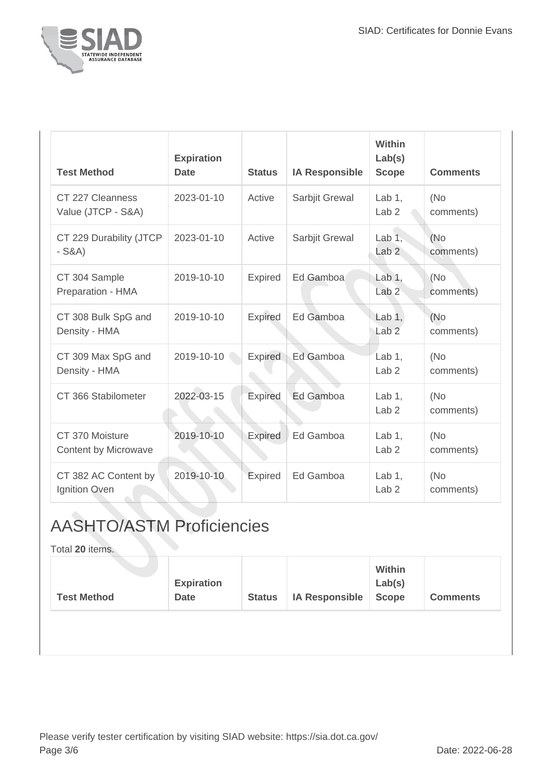

| <b>Test Method</b>                             | <b>Expiration</b><br><b>Date</b> | <b>Status</b>  | <b>IA Responsible</b> | <b>Within</b><br>Lab(s)<br><b>Scope</b> | <b>Comments</b>  |
|------------------------------------------------|----------------------------------|----------------|-----------------------|-----------------------------------------|------------------|
| CT 227 Cleanness<br>Value (JTCP - S&A)         | 2023-01-10                       | Active         | Sarbjit Grewal        | Lab $1$ ,<br>Lab <sub>2</sub>           | (No<br>comments) |
| CT 229 Durability (JTCP<br>$-S&A)$             | 2023-01-10                       | Active         | Sarbjit Grewal        | Lab $1$ ,<br>Lab <sub>2</sub>           | (No<br>comments) |
| CT 304 Sample<br>Preparation - HMA             | 2019-10-10                       | <b>Expired</b> | Ed Gamboa             | Lab 1,<br>Lab <sub>2</sub>              | (No<br>comments) |
| CT 308 Bulk SpG and<br>Density - HMA           | 2019-10-10                       | <b>Expired</b> | Ed Gamboa             | Lab $1,$<br>Lab <sub>2</sub>            | (No<br>comments) |
| CT 309 Max SpG and<br>Density - HMA            | 2019-10-10                       | <b>Expired</b> | Ed Gamboa             | Lab $1$ ,<br>Lab <sub>2</sub>           | (No<br>comments) |
| CT 366 Stabilometer                            | 2022-03-15                       | Expired        | Ed Gamboa             | Lab $1$ ,<br>Lab <sub>2</sub>           | (No<br>comments) |
| CT 370 Moisture<br><b>Content by Microwave</b> | 2019-10-10                       | <b>Expired</b> | Ed Gamboa             | Lab $1$ ,<br>Lab <sub>2</sub>           | (No<br>comments) |
| CT 382 AC Content by<br>Ignition Oven          | 2019-10-10                       | Expired        | Ed Gamboa             | Lab $1$ ,<br>Lab <sub>2</sub>           | (No<br>comments) |

## AASHTO/ASTM Proficiencies

Total **20** items.

| <b>Test Method</b> | <b>Expiration</b><br><b>Date</b> | <b>Status</b> | <b>IA Responsible</b> | Within<br>Lab(s)<br><b>Scope</b> | <b>Comments</b> |
|--------------------|----------------------------------|---------------|-----------------------|----------------------------------|-----------------|
|                    |                                  |               |                       |                                  |                 |
|                    |                                  |               |                       |                                  |                 |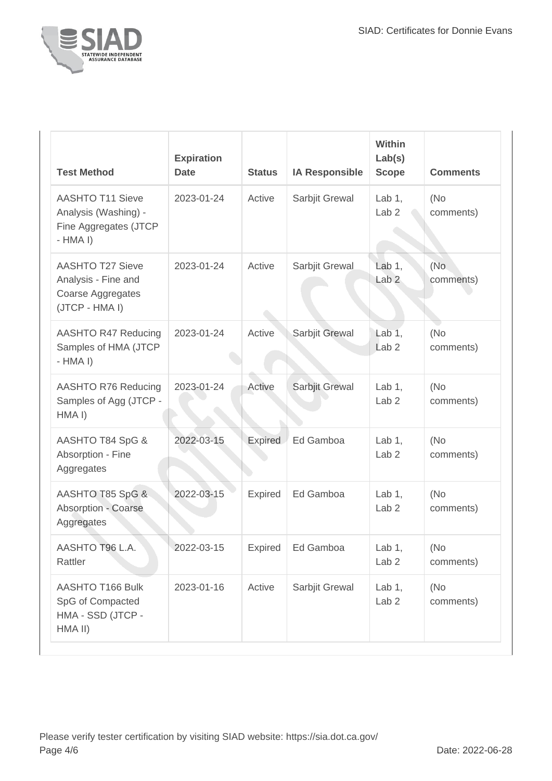

| <b>Test Method</b>                                                                    | <b>Expiration</b><br><b>Date</b> | <b>Status</b> | <b>IA Responsible</b> | <b>Within</b><br>Lab(s)<br><b>Scope</b> | <b>Comments</b>  |
|---------------------------------------------------------------------------------------|----------------------------------|---------------|-----------------------|-----------------------------------------|------------------|
| <b>AASHTO T11 Sieve</b><br>Analysis (Washing) -<br>Fine Aggregates (JTCP<br>$-HMA I$  | 2023-01-24                       | Active        | Sarbjit Grewal        | Lab $1,$<br>Lab <sub>2</sub>            | (No<br>comments) |
| <b>AASHTO T27 Sieve</b><br>Analysis - Fine and<br>Coarse Aggregates<br>(JTCP - HMA I) | 2023-01-24                       | Active        | Sarbjit Grewal        | Lab 1.<br>Lab <sub>2</sub>              | (No<br>comments) |
| AASHTO R47 Reducing<br>Samples of HMA (JTCP<br>$-HMA I$                               | 2023-01-24                       | Active        | Sarbjit Grewal        | Lab $1,$<br>Lab <sub>2</sub>            | (No<br>comments) |
| AASHTO R76 Reducing<br>Samples of Agg (JTCP -<br>HMA I)                               | 2023-01-24                       | Active        | Sarbjit Grewal        | Lab $1$ ,<br>Lab <sub>2</sub>           | (No<br>comments) |
| AASHTO T84 SpG &<br>Absorption - Fine<br>Aggregates                                   | 2022-03-15                       | Expired       | Ed Gamboa             | Lab $1$ ,<br>Lab <sub>2</sub>           | (No<br>comments) |
| AASHTO T85 SpG &<br><b>Absorption - Coarse</b><br>Aggregates                          | 2022-03-15                       | Expired       | Ed Gamboa             | Lab $1$ ,<br>Lab <sub>2</sub>           | (No<br>comments) |
| AASHTO T96 L.A.<br>Rattler                                                            | 2022-03-15                       | Expired       | Ed Gamboa             | Lab $1,$<br>Lab <sub>2</sub>            | (No<br>comments) |
| AASHTO T166 Bulk<br>SpG of Compacted<br>HMA - SSD (JTCP -<br>HMA II)                  | 2023-01-16                       | Active        | Sarbjit Grewal        | Lab $1,$<br>Lab <sub>2</sub>            | (No<br>comments) |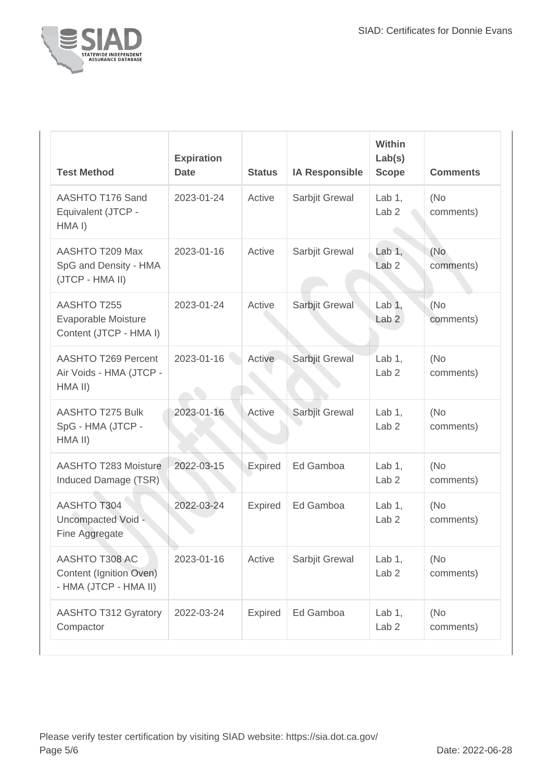

| <b>Test Method</b>                                                 | <b>Expiration</b><br><b>Date</b> | <b>Status</b>  | <b>IA Responsible</b> | <b>Within</b><br>Lab(s)<br><b>Scope</b> | <b>Comments</b>   |
|--------------------------------------------------------------------|----------------------------------|----------------|-----------------------|-----------------------------------------|-------------------|
| AASHTO T176 Sand<br>Equivalent (JTCP -<br>HMA <sub>I</sub> )       | 2023-01-24                       | Active         | Sarbjit Grewal        | Lab $1$ ,<br>Lab <sub>2</sub>           | (No)<br>comments) |
| AASHTO T209 Max<br>SpG and Density - HMA<br>(JTCP - HMA II)        | 2023-01-16                       | Active         | Sarbjit Grewal        | Lab $1,$<br>Lab <sub>2</sub>            | (No<br>comments)  |
| AASHTO T255<br>Evaporable Moisture<br>Content (JTCP - HMA I)       | 2023-01-24                       | Active         | Sarbjit Grewal        | Lab $1$ ,<br>Lab <sub>2</sub>           | (No<br>comments)  |
| AASHTO T269 Percent<br>Air Voids - HMA (JTCP -<br>HMA II)          | 2023-01-16                       | Active         | Sarbjit Grewal        | Lab $1,$<br>Lab <sub>2</sub>            | (No<br>comments)  |
| <b>AASHTO T275 Bulk</b><br>SpG - HMA (JTCP -<br>HMA II)            | 2023-01-16                       | Active         | Sarbjit Grewal        | Lab $1$ ,<br>Lab <sub>2</sub>           | (No<br>comments)  |
| <b>AASHTO T283 Moisture</b><br>Induced Damage (TSR)                | 2022-03-15                       | <b>Expired</b> | Ed Gamboa             | Lab $1$ ,<br>Lab <sub>2</sub>           | (No<br>comments)  |
| <b>AASHTO T304</b><br>Uncompacted Void -<br>Fine Aggregate         | 2022-03-24                       | <b>Expired</b> | Ed Gamboa             | Lab $1,$<br>Lab <sub>2</sub>            | (No<br>comments)  |
| AASHTO T308 AC<br>Content (Ignition Oven)<br>- HMA (JTCP - HMA II) | 2023-01-16                       | Active         | Sarbjit Grewal        | Lab $1,$<br>Lab <sub>2</sub>            | (No)<br>comments) |
| <b>AASHTO T312 Gyratory</b><br>Compactor                           | 2022-03-24                       | <b>Expired</b> | Ed Gamboa             | Lab $1,$<br>Lab <sub>2</sub>            | (No<br>comments)  |